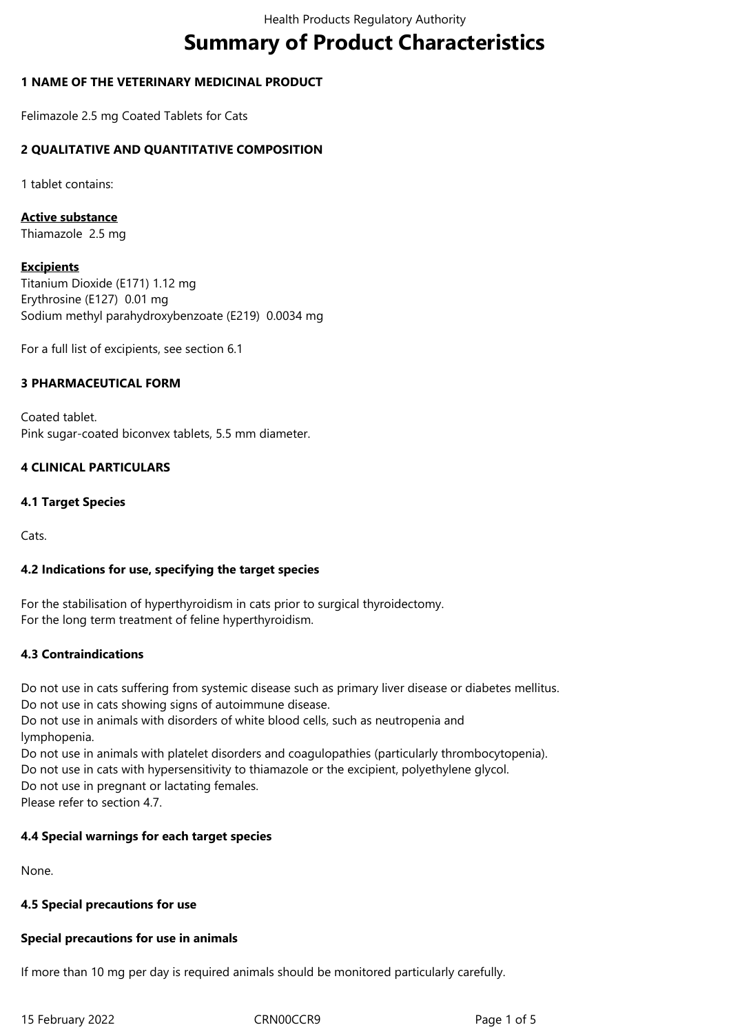# **Summary of Product Characteristics**

## **1 NAME OF THE VETERINARY MEDICINAL PRODUCT**

Felimazole 2.5 mg Coated Tablets for Cats

## **2 QUALITATIVE AND QUANTITATIVE COMPOSITION**

1 tablet contains:

**Active substance**

Thiamazole 2.5 mg

## **Excipients**

Titanium Dioxide (E171) 1.12 mg Erythrosine (E127) 0.01 mg Sodium methyl parahydroxybenzoate (E219) 0.0034 mg

For a full list of excipients, see section 6.1

## **3 PHARMACEUTICAL FORM**

Coated tablet. Pink sugar-coated biconvex tablets, 5.5 mm diameter.

## **4 CLINICAL PARTICULARS**

## **4.1 Target Species**

Cats.

## **4.2 Indications for use, specifying the target species**

For the stabilisation of hyperthyroidism in cats prior to surgical thyroidectomy. For the long term treatment of feline hyperthyroidism.

## **4.3 Contraindications**

Do not use in cats suffering from systemic disease such as primary liver disease or diabetes mellitus. Do not use in cats showing signs of autoimmune disease.

Do not use in animals with disorders of white blood cells, such as neutropenia and lymphopenia.

Do not use in animals with platelet disorders and coagulopathies (particularly thrombocytopenia). Do not use in cats with hypersensitivity to thiamazole or the excipient, polyethylene glycol. Do not use in pregnant or lactating females. Please refer to section 4.7.

## **4.4 Special warnings for each target species**

None.

## **4.5 Special precautions for use**

## **Special precautions for use in animals**

If more than 10 mg per day is required animals should be monitored particularly carefully.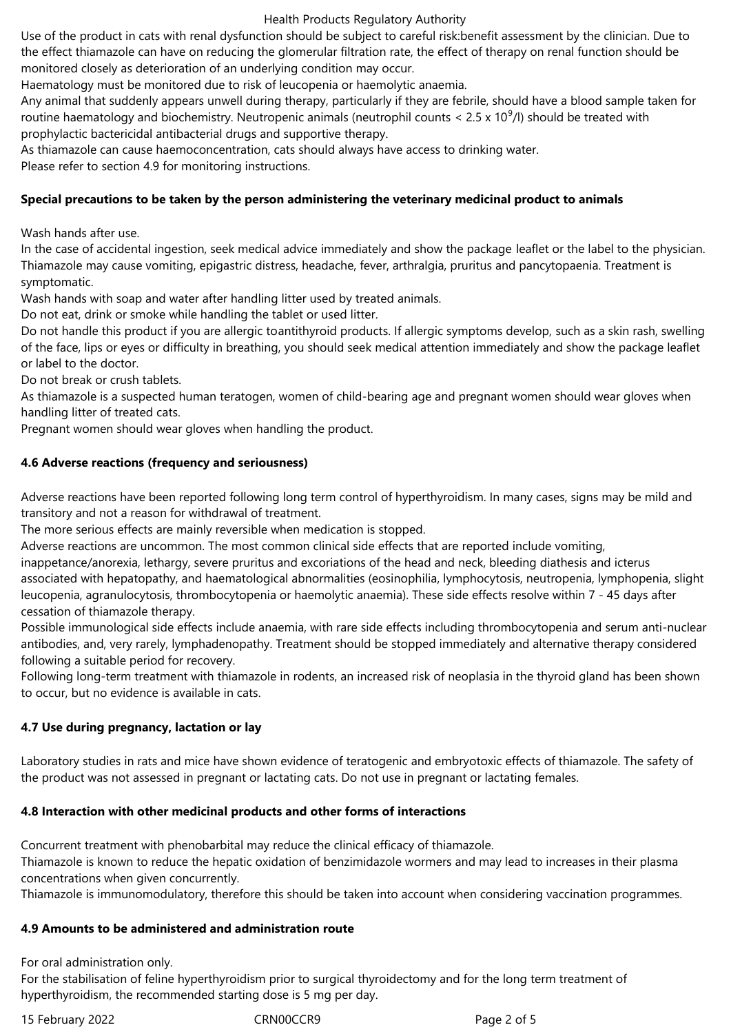## Health Products Regulatory Authority

Use of the product in cats with renal dysfunction should be subject to careful risk:benefit assessment by the clinician. Due to the effect thiamazole can have on reducing the glomerular filtration rate, the effect of therapy on renal function should be monitored closely as deterioration of an underlying condition may occur.

Haematology must be monitored due to risk of leucopenia or haemolytic anaemia.

Any animal that suddenly appears unwell during therapy, particularly if they are febrile, should have a blood sample taken for routine haematology and biochemistry. Neutropenic animals (neutrophil counts < 2.5 x 10<sup>9</sup>/l) should be treated with prophylactic bactericidal antibacterial drugs and supportive therapy.

As thiamazole can cause haemoconcentration, cats should always have access to drinking water.

Please refer to section 4.9 for monitoring instructions.

## **Special precautions to be taken by the person administering the veterinary medicinal product to animals**

Wash hands after use.

In the case of accidental ingestion, seek medical advice immediately and show the package leaflet or the label to the physician. Thiamazole may cause vomiting, epigastric distress, headache, fever, arthralgia, pruritus and pancytopaenia. Treatment is symptomatic.

Wash hands with soap and water after handling litter used by treated animals.

Do not eat, drink or smoke while handling the tablet or used litter.

Do not handle this product if you are allergic toantithyroid products. If allergic symptoms develop, such as a skin rash, swelling of the face, lips or eyes or difficulty in breathing, you should seek medical attention immediately and show the package leaflet or label to the doctor.

Do not break or crush tablets.

As thiamazole is a suspected human teratogen, women of child-bearing age and pregnant women should wear gloves when handling litter of treated cats.

Pregnant women should wear gloves when handling the product.

## **4.6 Adverse reactions (frequency and seriousness)**

Adverse reactions have been reported following long term control of hyperthyroidism. In many cases, signs may be mild and transitory and not a reason for withdrawal of treatment.

The more serious effects are mainly reversible when medication is stopped.

Adverse reactions are uncommon. The most common clinical side effects that are reported include vomiting,

inappetance/anorexia, lethargy, severe pruritus and excoriations of the head and neck, bleeding diathesis and icterus associated with hepatopathy, and haematological abnormalities (eosinophilia, lymphocytosis, neutropenia, lymphopenia, slight leucopenia, agranulocytosis, thrombocytopenia or haemolytic anaemia). These side effects resolve within 7 - 45 days after cessation of thiamazole therapy.

Possible immunological side effects include anaemia, with rare side effects including thrombocytopenia and serum anti-nuclear antibodies, and, very rarely, lymphadenopathy. Treatment should be stopped immediately and alternative therapy considered following a suitable period for recovery.

Following long-term treatment with thiamazole in rodents, an increased risk of neoplasia in the thyroid gland has been shown to occur, but no evidence is available in cats.

# **4.7 Use during pregnancy, lactation or lay**

Laboratory studies in rats and mice have shown evidence of teratogenic and embryotoxic effects of thiamazole. The safety of the product was not assessed in pregnant or lactating cats. Do not use in pregnant or lactating females.

## **4.8 Interaction with other medicinal products and other forms of interactions**

Concurrent treatment with phenobarbital may reduce the clinical efficacy of thiamazole.

Thiamazole is known to reduce the hepatic oxidation of benzimidazole wormers and may lead to increases in their plasma concentrations when given concurrently.

Thiamazole is immunomodulatory, therefore this should be taken into account when considering vaccination programmes.

## **4.9 Amounts to be administered and administration route**

For oral administration only.

For the stabilisation of feline hyperthyroidism prior to surgical thyroidectomy and for the long term treatment of hyperthyroidism, the recommended starting dose is 5 mg per day.

15 February 2022 CRN00CCR9 Page 2 of 5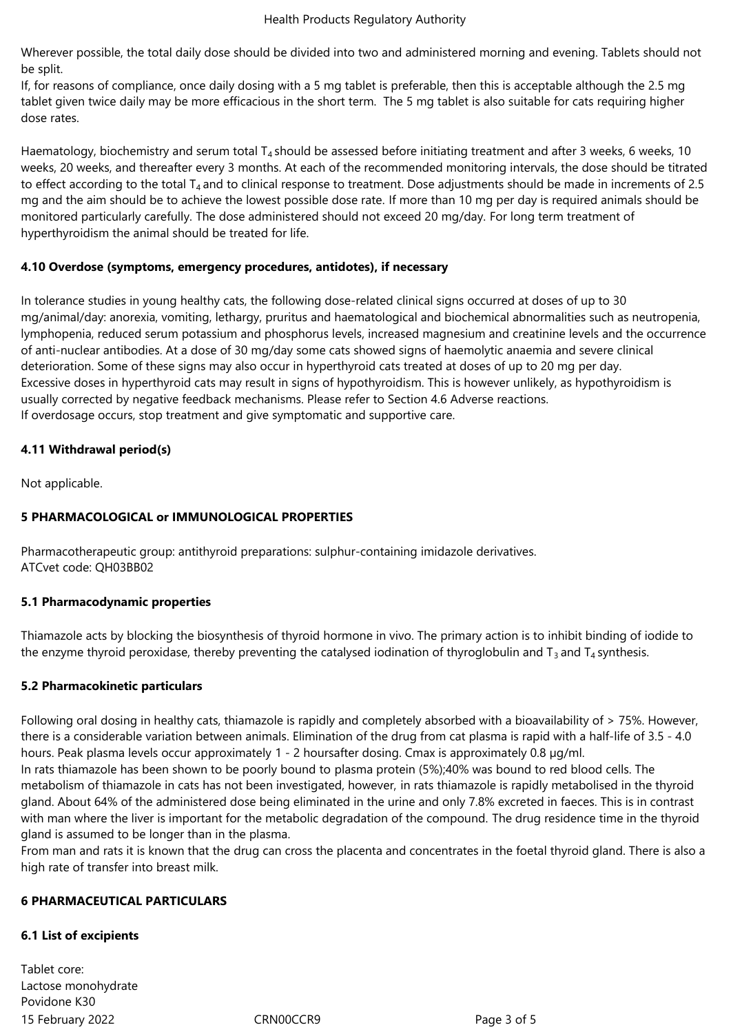Wherever possible, the total daily dose should be divided into two and administered morning and evening. Tablets should not be split.

If, for reasons of compliance, once daily dosing with a 5 mg tablet is preferable, then this is acceptable although the 2.5 mg tablet given twice daily may be more efficacious in the short term. The 5 mg tablet is also suitable for cats requiring higher dose rates.

Haematology, biochemistry and serum total  $T_4$  should be assessed before initiating treatment and after 3 weeks, 6 weeks, 10 weeks, 20 weeks, and thereafter every 3 months. At each of the recommended monitoring intervals, the dose should be titrated to effect according to the total  $T_4$  and to clinical response to treatment. Dose adjustments should be made in increments of 2.5 mg and the aim should be to achieve the lowest possible dose rate. If more than 10 mg per day is required animals should be monitored particularly carefully. The dose administered should not exceed 20 mg/day. For long term treatment of hyperthyroidism the animal should be treated for life.

## **4.10 Overdose (symptoms, emergency procedures, antidotes), if necessary**

In tolerance studies in young healthy cats, the following dose-related clinical signs occurred at doses of up to 30 mg/animal/day: anorexia, vomiting, lethargy, pruritus and haematological and biochemical abnormalities such as neutropenia, lymphopenia, reduced serum potassium and phosphorus levels, increased magnesium and creatinine levels and the occurrence of anti-nuclear antibodies. At a dose of 30 mg/day some cats showed signs of haemolytic anaemia and severe clinical deterioration. Some of these signs may also occur in hyperthyroid cats treated at doses of up to 20 mg per day. Excessive doses in hyperthyroid cats may result in signs of hypothyroidism. This is however unlikely, as hypothyroidism is usually corrected by negative feedback mechanisms. Please refer to Section 4.6 Adverse reactions. If overdosage occurs, stop treatment and give symptomatic and supportive care.

## **4.11 Withdrawal period(s)**

Not applicable.

# **5 PHARMACOLOGICAL or IMMUNOLOGICAL PROPERTIES**

Pharmacotherapeutic group: antithyroid preparations: sulphur-containing imidazole derivatives. ATCvet code: QH03BB02

# **5.1 Pharmacodynamic properties**

Thiamazole acts by blocking the biosynthesis of thyroid hormone in vivo. The primary action is to inhibit binding of iodide to the enzyme thyroid peroxidase, thereby preventing the catalysed iodination of thyroglobulin and  $T_3$  and  $T_4$  synthesis.

# **5.2 Pharmacokinetic particulars**

Following oral dosing in healthy cats, thiamazole is rapidly and completely absorbed with a bioavailability of  $> 75$ %. However, there is a considerable variation between animals. Elimination of the drug from cat plasma is rapid with a half-life of 3.5 - 4.0 hours. Peak plasma levels occur approximately 1 - 2 hoursafter dosing. Cmax is approximately 0.8 µg/ml. In rats thiamazole has been shown to be poorly bound to plasma protein (5%);40% was bound to red blood cells. The metabolism of thiamazole in cats has not been investigated, however, in rats thiamazole is rapidly metabolised in the thyroid gland. About 64% of the administered dose being eliminated in the urine and only 7.8% excreted in faeces. This is in contrast with man where the liver is important for the metabolic degradation of the compound. The drug residence time in the thyroid gland is assumed to be longer than in the plasma.

From man and rats it is known that the drug can cross the placenta and concentrates in the foetal thyroid gland. There is also a high rate of transfer into breast milk.

## **6 PHARMACEUTICAL PARTICULARS**

## **6.1 List of excipients**

15 February 2022 CRN00CCR9 Page 3 of 5 Tablet core: Lactose monohydrate Povidone K30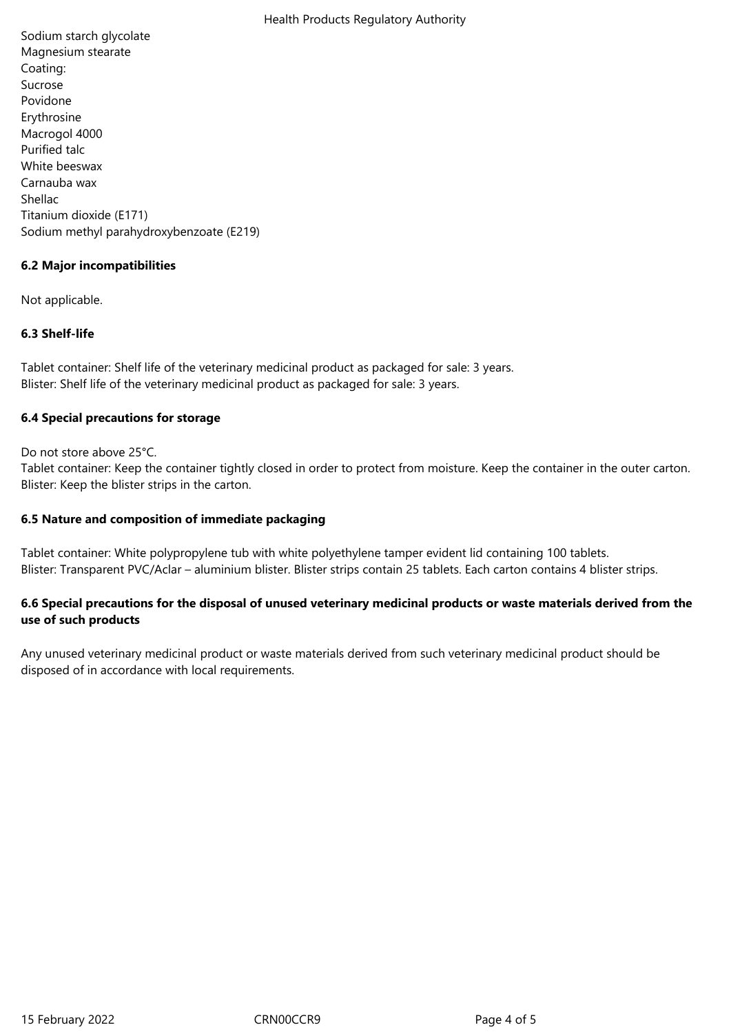Sodium starch glycolate Magnesium stearate Coating: Sucrose Povidone Erythrosine Macrogol 4000 Purified talc White beeswax Carnauba wax Shellac Titanium dioxide (E171) Sodium methyl parahydroxybenzoate (E219)

# **6.2 Major incompatibilities**

Not applicable.

# **6.3 Shelf-life**

Tablet container: Shelf life of the veterinary medicinal product as packaged for sale: 3 years. Blister: Shelf life of the veterinary medicinal product as packaged for sale: 3 years.

## **6.4 Special precautions for storage**

Do not store above 25°C.

Tablet container: Keep the container tightly closed in order to protect from moisture. Keep the container in the outer carton. Blister: Keep the blister strips in the carton.

## **6.5 Nature and composition of immediate packaging**

Tablet container: White polypropylene tub with white polyethylene tamper evident lid containing 100 tablets. Blister: Transparent PVC/Aclar – aluminium blister. Blister strips contain 25 tablets. Each carton contains 4 blister strips.

# **6.6 Special precautions for the disposal of unused veterinary medicinal products or waste materials derived from the use of such products**

Any unused veterinary medicinal product or waste materials derived from such veterinary medicinal product should be disposed of in accordance with local requirements.